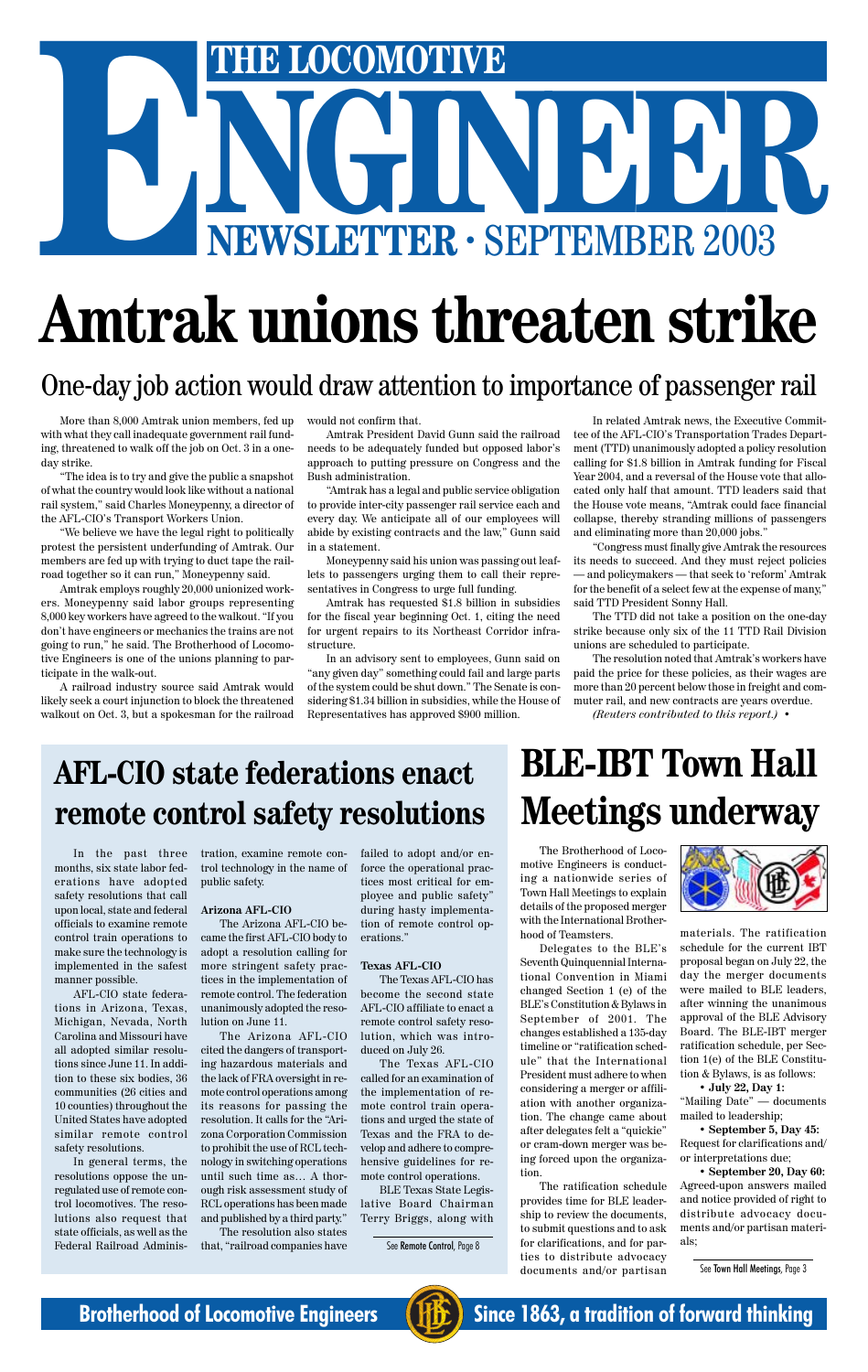In the past three months, six state labor federations have adopted safety resolutions that call upon local, state and federal officials to examine remote control train operations to make sure the technology is implemented in the safest manner possible.

AFL-CIO state federations in Arizona, Texas, Michigan, Nevada, North Carolina and Missouri have all adopted similar resolutions since June 11. In addition to these six bodies, 36 communities (26 cities and 10 counties) throughout the United States have adopted similar remote control safety resolutions.

In general terms, the resolutions oppose the unregulated use of remote control locomotives. The resolutions also request that state officials, as well as the Federal Railroad Adminis-

# NGINEER<sup>2003</sup> **ENERGO AND STRUCT AND SEPTEMBER 2003**

# **Amtrak unions threaten strike**

# One-day job action would draw attention to importance of passenger rail

tration, examine remote control technology in the name of public safety.

### **Arizona AFL-CIO**

The Arizona AFL-CIO became the first AFL-CIO body to adopt a resolution calling for more stringent safety practices in the implementation of remote control. The federation

unanimously adopted the resolution on June 11.

The Arizona AFL-CIO cited the dangers of transporting hazardous materials and the lack of FRA oversight in remote control operations among its reasons for passing the resolution. It calls for the "Arizona Corporation Commission to prohibit the use of RCL technology in switching operations until such time as… A thorough risk assessment study of RCL operations has been made and published by a third party."

The resolution also states that, "railroad companies have

failed to adopt and/or enforce the operational practices most critical for employee and public safety" during hasty implementation of remote control operations."

### **Texas AFL-CIO**

The Texas AFL-CIO has become the second state AFL-CIO affiliate to enact a remote control safety resolution, which was introduced on July 26.

The Texas AFL-CIO called for an examination of the implementation of remote control train operations and urged the state of Texas and the FRA to develop and adhere to comprehensive guidelines for remote control operations.

BLE Texas State Legislative Board Chairman Terry Briggs, along with

# **AFL-CIO state federations enact remote control safety resolutions**

# **BLE-IBT Town Hall Meetings underway**

The Brotherhood of Locomotive Engineers is conducting a nationwide series of Town Hall Meetings to explain details of the proposed merger with the International Brotherhood of Teamsters.

Delegates to the BLE's Seventh Quinquennial International Convention in Miami changed Section 1 (e) of the BLE's Constitution & Bylaws in September of 2001. The changes established a 135-day timeline or "ratification schedule" that the International President must adhere to when considering a merger or affiliation with another organization. The change came about after delegates felt a "quickie" or cram-down merger was being forced upon the organization.



The ratification schedule provides time for BLE leadership to review the documents, to submit questions and to ask for clarifications, and for parties to distribute advocacy documents and/or partisan

materials. The ratification schedule for the current IBT proposal began on July 22, the day the merger documents were mailed to BLE leaders, after winning the unanimous approval of the BLE Advisory Board. The BLE-IBT merger ratification schedule, per Section 1(e) of the BLE Constitution & Bylaws, is as follows: **• July 22, Day 1:** "Mailing Date" — documents mailed to leadership;

**• September 5, Day 45:** Request for clarifications and/ or interpretations due;

**• September 20, Day 60:** Agreed-upon answers mailed and notice provided of right to distribute advocacy documents and/or partisan materials;

See Town Hall Meetings, Page 3



**Brotherhood of Locomotive Engineers (HE)** Since 1863, a tradition of forward thinking

See Remote Control, Page 8

More than 8,000 Amtrak union members, fed up with what they call inadequate government rail funding, threatened to walk off the job on Oct. 3 in a oneday strike.

"The idea is to try and give the public a snapshot of what the country would look like without a national rail system," said Charles Moneypenny, a director of the AFL-CIO's Transport Workers Union.

"We believe we have the legal right to politically protest the persistent underfunding of Amtrak. Our members are fed up with trying to duct tape the railroad together so it can run," Moneypenny said.

Amtrak employs roughly 20,000 unionized workers. Moneypenny said labor groups representing 8,000 key workers have agreed to the walkout. "If you don't have engineers or mechanics the trains are not going to run," he said. The Brotherhood of Locomotive Engineers is one of the unions planning to participate in the walk-out.

A railroad industry source said Amtrak would likely seek a court injunction to block the threatened walkout on Oct. 3, but a spokesman for the railroad would not confirm that.

Amtrak President David Gunn said the railroad needs to be adequately funded but opposed labor's approach to putting pressure on Congress and the Bush administration.

"Amtrak has a legal and public service obligation to provide inter-city passenger rail service each and every day. We anticipate all of our employees will abide by existing contracts and the law," Gunn said in a statement.

Moneypenny said his union was passing out leaflets to passengers urging them to call their representatives in Congress to urge full funding.

Amtrak has requested \$1.8 billion in subsidies for the fiscal year beginning Oct. 1, citing the need for urgent repairs to its Northeast Corridor infrastructure.

In an advisory sent to employees, Gunn said on "any given day" something could fail and large parts of the system could be shut down." The Senate is considering \$1.34 billion in subsidies, while the House of Representatives has approved \$900 million.

In related Amtrak news, the Executive Committee of the AFL-CIO's Transportation Trades Department (TTD) unanimously adopted a policy resolution calling for \$1.8 billion in Amtrak funding for Fiscal Year 2004, and a reversal of the House vote that allocated only half that amount. TTD leaders said that the House vote means, "Amtrak could face financial collapse, thereby stranding millions of passengers and eliminating more than 20,000 jobs."

"Congress must finally give Amtrak the resources its needs to succeed. And they must reject policies — and policymakers — that seek to 'reform' Amtrak for the benefit of a select few at the expense of many," said TTD President Sonny Hall.

The TTD did not take a position on the one-day strike because only six of the 11 TTD Rail Division unions are scheduled to participate.

The resolution noted that Amtrak's workers have paid the price for these policies, as their wages are more than 20 percent below those in freight and commuter rail, and new contracts are years overdue.

*(Reuters contributed to this report.)* •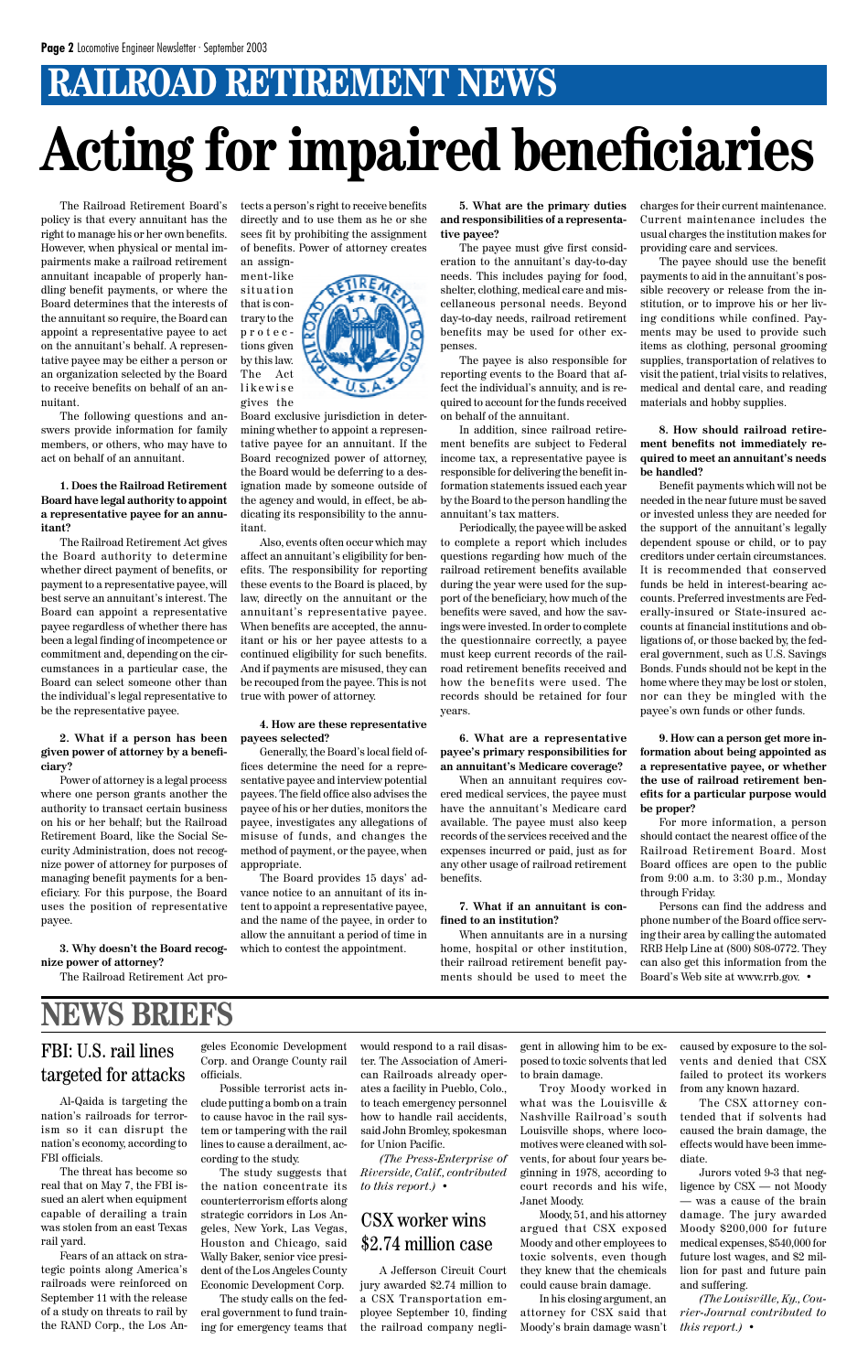The Railroad Retirement Board's policy is that every annuitant has the right to manage his or her own benefits. However, when physical or mental impairments make a railroad retirement annuitant incapable of properly handling benefit payments, or where the Board determines that the interests of the annuitant so require, the Board can appoint a representative payee to act on the annuitant's behalf. A representative payee may be either a person or an organization selected by the Board to receive benefits on behalf of an annuitant.

The following questions and answers provide information for family members, or others, who may have to act on behalf of an annuitant.

**1. Does the Railroad Retirement Board have legal authority to appoint a representative payee for an annuitant?**

The Railroad Retirement Act gives the Board authority to determine whether direct payment of benefits, or payment to a representative payee, will best serve an annuitant's interest. The Board can appoint a representative payee regardless of whether there has been a legal finding of incompetence or commitment and, depending on the circumstances in a particular case, the Board can select someone other than the individual's legal representative to be the representative payee.

### **2. What if a person has been given power of attorney by a beneficiary?**

Power of attorney is a legal process where one person grants another the authority to transact certain business on his or her behalf; but the Railroad Retirement Board, like the Social Security Administration, does not recognize power of attorney for purposes of managing benefit payments for a beneficiary. For this purpose, the Board uses the position of representative payee.

### **3. Why doesn't the Board recognize power of attorney?**

The Railroad Retirement Act pro-

tects a person's right to receive benefits directly and to use them as he or she sees fit by prohibiting the assignment of benefits. Power of attorney creates an assign-



Board exclusive jurisdiction in determining whether to appoint a representative payee for an annuitant. If the Board recognized power of attorney, the Board would be deferring to a designation made by someone outside of the agency and would, in effect, be abdicating its responsibility to the annuitant.

Also, events often occur which may affect an annuitant's eligibility for benefits. The responsibility for reporting these events to the Board is placed, by law, directly on the annuitant or the annuitant's representative payee. When benefits are accepted, the annuitant or his or her payee attests to a continued eligibility for such benefits. And if payments are misused, they can be recouped from the payee. This is not true with power of attorney.

### **4. How are these representative payees selected?**

Generally, the Board's local field offices determine the need for a representative payee and interview potential payees. The field office also advises the payee of his or her duties, monitors the payee, investigates any allegations of misuse of funds, and changes the method of payment, or the payee, when appropriate.

The Board provides 15 days' advance notice to an annuitant of its intent to appoint a representative payee, and the name of the payee, in order to allow the annuitant a period of time in which to contest the appointment.

**5. What are the primary duties and responsibilities of a representative payee?**

# **RAILROAD RETIREMENT NEWS Acting for impaired beneficiaries**

The payee must give first consideration to the annuitant's day-to-day needs. This includes paying for food, shelter, clothing, medical care and miscellaneous personal needs. Beyond day-to-day needs, railroad retirement benefits may be used for other expenses.

The payee is also responsible for reporting events to the Board that affect the individual's annuity, and is required to account for the funds received on behalf of the annuitant.

In addition, since railroad retirement benefits are subject to Federal income tax, a representative payee is responsible for delivering the benefit information statements issued each year by the Board to the person handling the annuitant's tax matters.

Periodically, the payee will be asked to complete a report which includes questions regarding how much of the railroad retirement benefits available during the year were used for the support of the beneficiary, how much of the benefits were saved, and how the savings were invested. In order to complete the questionnaire correctly, a payee must keep current records of the railroad retirement benefits received and how the benefits were used. The records should be retained for four years.

### **6. What are a representative payee's primary responsibilities for an annuitant's Medicare coverage?**

When an annuitant requires covered medical services, the payee must have the annuitant's Medicare card available. The payee must also keep records of the services received and the expenses incurred or paid, just as for any other usage of railroad retirement benefits.

### **7. What if an annuitant is confined to an institution?**

When annuitants are in a nursing home, hospital or other institution, their railroad retirement benefit payments should be used to meet the charges for their current maintenance. Current maintenance includes the usual charges the institution makes for providing care and services.

The payee should use the benefit payments to aid in the annuitant's possible recovery or release from the institution, or to improve his or her living conditions while confined. Payments may be used to provide such items as clothing, personal grooming supplies, transportation of relatives to visit the patient, trial visits to relatives, medical and dental care, and reading materials and hobby supplies.

**8. How should railroad retirement benefits not immediately required to meet an annuitant's needs be handled?**

Benefit payments which will not be needed in the near future must be saved or invested unless they are needed for the support of the annuitant's legally dependent spouse or child, or to pay creditors under certain circumstances. It is recommended that conserved funds be held in interest-bearing accounts. Preferred investments are Federally-insured or State-insured accounts at financial institutions and obligations of, or those backed by, the federal government, such as U.S. Savings Bonds. Funds should not be kept in the home where they may be lost or stolen, nor can they be mingled with the payee's own funds or other funds.

**9. How can a person get more information about being appointed as a representative payee, or whether the use of railroad retirement benefits for a particular purpose would be proper?**

For more information, a person should contact the nearest office of the Railroad Retirement Board. Most Board offices are open to the public from 9:00 a.m. to 3:30 p.m., Monday through Friday.

Persons can find the address and phone number of the Board office serving their area by calling the automated RRB Help Line at (800) 808-0772. They can also get this information from the Board's Web site at www.rrb.gov. •

## FBI: U.S. rail lines targeted for attacks

# **NEWS BRIEFS**

Al-Qaida is targeting the nation's railroads for terrorism so it can disrupt the nation's economy, according to FBI officials.

The threat has become so real that on May 7, the FBI issued an alert when equipment capable of derailing a train was stolen from an east Texas rail yard.

Fears of an attack on strategic points along America's railroads were reinforced on September 11 with the release of a study on threats to rail by the RAND Corp., the Los An-

geles Economic Development Corp. and Orange County rail officials.

Possible terrorist acts include putting a bomb on a train to cause havoc in the rail system or tampering with the rail lines to cause a derailment, according to the study.

The study suggests that the nation concentrate its counterterrorism efforts along strategic corridors in Los Angeles, New York, Las Vegas, Houston and Chicago, said Wally Baker, senior vice president of the Los Angeles County Economic Development Corp.

The study calls on the federal government to fund training for emergency teams that would respond to a rail disaster. The Association of American Railroads already operates a facility in Pueblo, Colo., to teach emergency personnel how to handle rail accidents, said John Bromley, spokesman for Union Pacific.

*(The Press-Enterprise of Riverside, Calif., contributed to this report.)* •

A Jefferson Circuit Court jury awarded \$2.74 million to a CSX Transportation employee September 10, finding the railroad company negli-

### CSX worker wins \$2.74 million case

gent in allowing him to be exposed to toxic solvents that led to brain damage.

Troy Moody worked in what was the Louisville & Nashville Railroad's south Louisville shops, where locomotives were cleaned with solvents, for about four years beginning in 1978, according to court records and his wife, Janet Moody.

Moody, 51, and his attorney argued that CSX exposed Moody and other employees to toxic solvents, even though they knew that the chemicals could cause brain damage.

In his closing argument, an attorney for CSX said that Moody's brain damage wasn't

caused by exposure to the solvents and denied that CSX failed to protect its workers from any known hazard.

The CSX attorney contended that if solvents had caused the brain damage, the effects would have been immediate.

Jurors voted 9-3 that negligence by CSX — not Moody — was a cause of the brain damage. The jury awarded Moody \$200,000 for future medical expenses, \$540,000 for future lost wages, and \$2 million for past and future pain and suffering.

*(The Louisville, Ky., Courier-Journal contributed to this report.)* •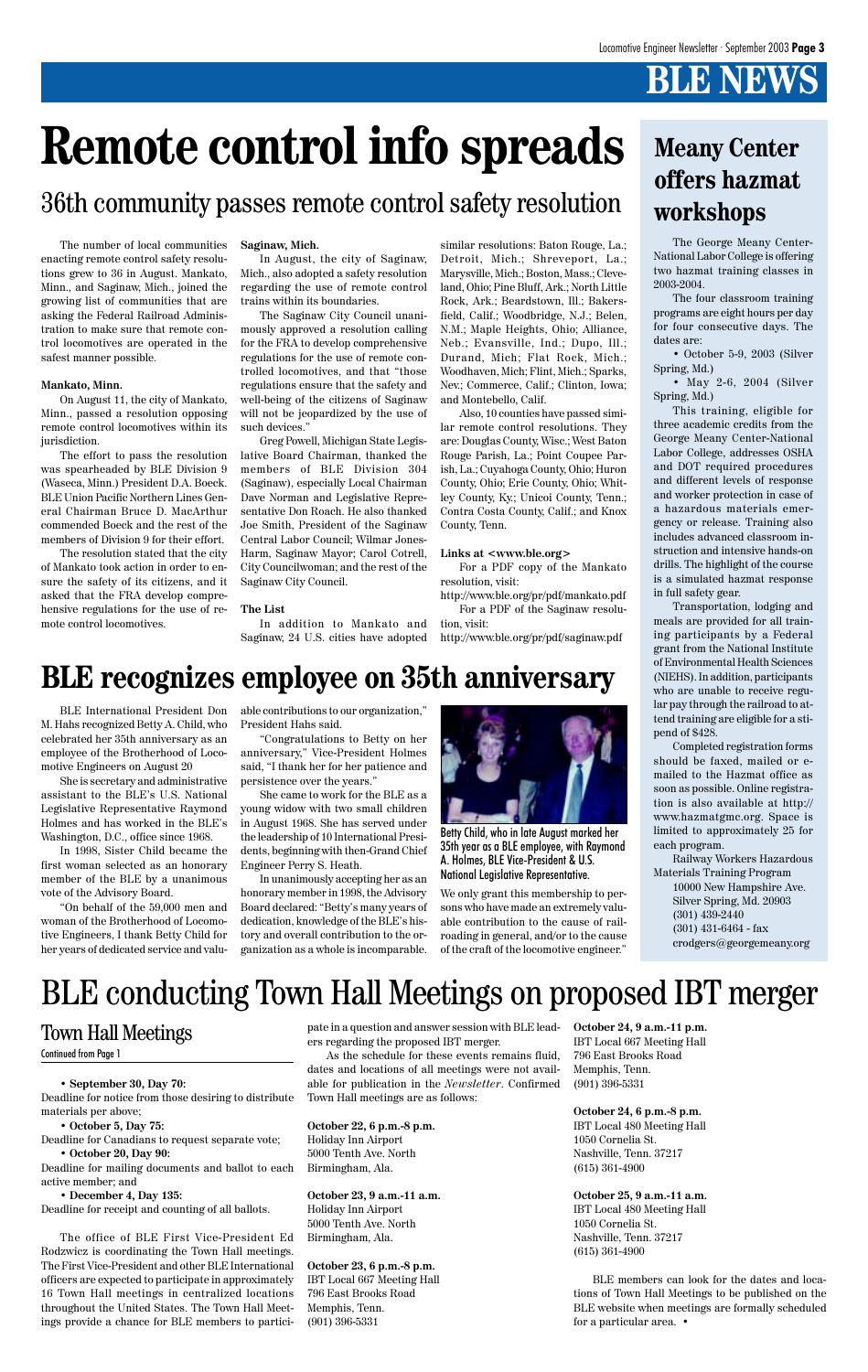# **BLE NEWS**

The George Meany Center-National Labor College is offering two hazmat training classes in 2003-2004.

• May 2-6, 2004 (Silver Spring, Md.)

The four classroom training programs are eight hours per day for four consecutive days. The dates are:

• October 5-9, 2003 (Silver Spring, Md.)

This training, eligible for three academic credits from the George Meany Center-National Labor College, addresses OSHA and DOT required procedures and different levels of response and worker protection in case of a hazardous materials emergency or release. Training also includes advanced classroom instruction and intensive hands-on drills. The highlight of the course is a simulated hazmat response in full safety gear.

Transportation, lodging and meals are provided for all training participants by a Federal grant from the National Institute of Environmental Health Sciences (NIEHS). In addition, participants who are unable to receive regular pay through the railroad to attend training are eligible for a stipend of \$428.

Completed registration forms should be faxed, mailed or emailed to the Hazmat office as soon as possible. Online registration is also available at http:// www.hazmatgmc.org. Space is limited to approximately 25 for each program.

Railway Workers Hazardous Materials Training Program

10000 New Hampshire Ave. Silver Spring, Md. 20903 (301) 439-2440 (301) 431-6464 - fax crodgers@georgemeany.org

M. Hahs recognized Betty A. Child, who celebrated her 35th anniversary as an employee of the Brotherhood of Locomotive Engineers on August 20

She is secretary and administrative assistant to the BLE's U.S. National Legislative Representative Raymond Holmes and has worked in the BLE's Washington, D.C., office since 1968.

In 1998, Sister Child became the first woman selected as an honorary member of the BLE by a unanimous vote of the Advisory Board.

"On behalf of the 59,000 men and woman of the Brotherhood of Locomotive Engineers, I thank Betty Child for her years of dedicated service and valu-

BLE International President Don able contributions to our organization," **BLE recognizes employee on 35th anniversary**

President Hahs said.

"Congratulations to Betty on her anniversary," Vice-President Holmes said, "I thank her for her patience and persistence over the years."

She came to work for the BLE as a young widow with two small children in August 1968. She has served under the leadership of 10 International Presidents, beginning with then-Grand Chief Engineer Perry S. Heath.

In unanimously accepting her as an honorary member in 1998, the Advisory Board declared: "Betty's many years of dedication, knowledge of the BLE's history and overall contribution to the organization as a whole is incomparable.

We only grant this membership to persons who have made an extremely valuable contribution to the cause of railroading in general, and/or to the cause of the craft of the locomotive engineer."

The number of local communities enacting remote control safety resolutions grew to 36 in August. Mankato, Minn., and Saginaw, Mich., joined the growing list of communities that are asking the Federal Railroad Administration to make sure that remote control locomotives are operated in the safest manner possible.

### **Mankato, Minn.**

On August 11, the city of Mankato, Minn., passed a resolution opposing remote control locomotives within its jurisdiction.

The effort to pass the resolution was spearheaded by BLE Division 9 (Waseca, Minn.) President D.A. Boeck. BLE Union Pacific Northern Lines General Chairman Bruce D. MacArthur commended Boeck and the rest of the members of Division 9 for their effort.

The resolution stated that the city of Mankato took action in order to ensure the safety of its citizens, and it asked that the FRA develop comprehensive regulations for the use of remote control locomotives.

### **Saginaw, Mich.**

In August, the city of Saginaw, Mich., also adopted a safety resolution regarding the use of remote control trains within its boundaries.

The Saginaw City Council unanimously approved a resolution calling for the FRA to develop comprehensive regulations for the use of remote controlled locomotives, and that "those regulations ensure that the safety and well-being of the citizens of Saginaw will not be jeopardized by the use of such devices."

Greg Powell, Michigan State Legislative Board Chairman, thanked the members of BLE Division 304 (Saginaw), especially Local Chairman Dave Norman and Legislative Representative Don Roach. He also thanked Joe Smith, President of the Saginaw Central Labor Council; Wilmar Jones-Harm, Saginaw Mayor; Carol Cotrell, City Councilwoman; and the rest of the Saginaw City Council.

### **The List**

In addition to Mankato and Saginaw, 24 U.S. cities have adopted

**• September 30, Day 70:** Deadline for notice from those desiring to distribute materials per above;

**• October 5, Day 75:**

Deadline for Canadians to request separate vote;

**• October 20, Day 90:**

Deadline for mailing documents and ballot to each active member; and

**• December 4, Day 135:**

Deadline for receipt and counting of all ballots.

The office of BLE First Vice-President Ed Rodzwicz is coordinating the Town Hall meetings. The First Vice-President and other BLE International officers are expected to participate in approximately 16 Town Hall meetings in centralized locations throughout the United States. The Town Hall Meetings provide a chance for BLE members to partici-

similar resolutions: Baton Rouge, La.; Detroit, Mich.; Shreveport, La.; Marysville, Mich.; Boston, Mass.; Cleveland, Ohio; Pine Bluff, Ark.; North Little Rock, Ark.; Beardstown, Ill.; Bakersfield, Calif.; Woodbridge, N.J.; Belen, N.M.; Maple Heights, Ohio; Alliance, Neb.; Evansville, Ind.; Dupo, Ill.; Durand, Mich; Flat Rock, Mich.; Woodhaven, Mich; Flint, Mich.; Sparks, Nev.; Commerce, Calif.; Clinton, Iowa; and Montebello, Calif.

Also, 10 counties have passed similar remote control resolutions. They are: Douglas County, Wisc.; West Baton Rouge Parish, La.; Point Coupee Parish, La.; Cuyahoga County, Ohio; Huron County, Ohio; Erie County, Ohio; Whitley County, Ky.; Unicoi County, Tenn.; Contra Costa County, Calif.; and Knox County, Tenn.

### **Links at <www.ble.org>**

For a PDF copy of the Mankato resolution, visit:

http://www.ble.org/pr/pdf/mankato.pdf For a PDF of the Saginaw resolution, visit:

http://www.ble.org/pr/pdf/saginaw.pdf

# 36th community passes remote control safety resolution



Betty Child, who in late August marked her 35th year as a BLE employee, with Raymond A. Holmes, BLE Vice-President & U.S. National Legislative Representative.

# **Meany Center offers hazmat workshops**

# **Remote control info spreads**

pate in a question and answer session with BLE leaders regarding the proposed IBT merger.

As the schedule for these events remains fluid, dates and locations of all meetings were not available for publication in the *Newsletter*. Confirmed Town Hall meetings are as follows:

**October 22, 6 p.m.-8 p.m.** Holiday Inn Airport 5000 Tenth Ave. North Birmingham, Ala.

**October 23, 9 a.m.-11 a.m.** Holiday Inn Airport 5000 Tenth Ave. North Birmingham, Ala.

**October 23, 6 p.m.-8 p.m.** IBT Local 667 Meeting Hall 796 East Brooks Road Memphis, Tenn. (901) 396-5331

**October 24, 9 a.m.-11 p.m.** IBT Local 667 Meeting Hall 796 East Brooks Road Memphis, Tenn. (901) 396-5331

**October 24, 6 p.m.-8 p.m.** IBT Local 480 Meeting Hall 1050 Cornelia St. Nashville, Tenn. 37217 (615) 361-4900

**October 25, 9 a.m.-11 a.m.**

IBT Local 480 Meeting Hall 1050 Cornelia St. Nashville, Tenn. 37217 (615) 361-4900

BLE members can look for the dates and locations of Town Hall Meetings to be published on the BLE website when meetings are formally scheduled for a particular area. •

### Town Hall Meetings

### Continued from Page 1

# BLE conducting Town Hall Meetings on proposed IBT merger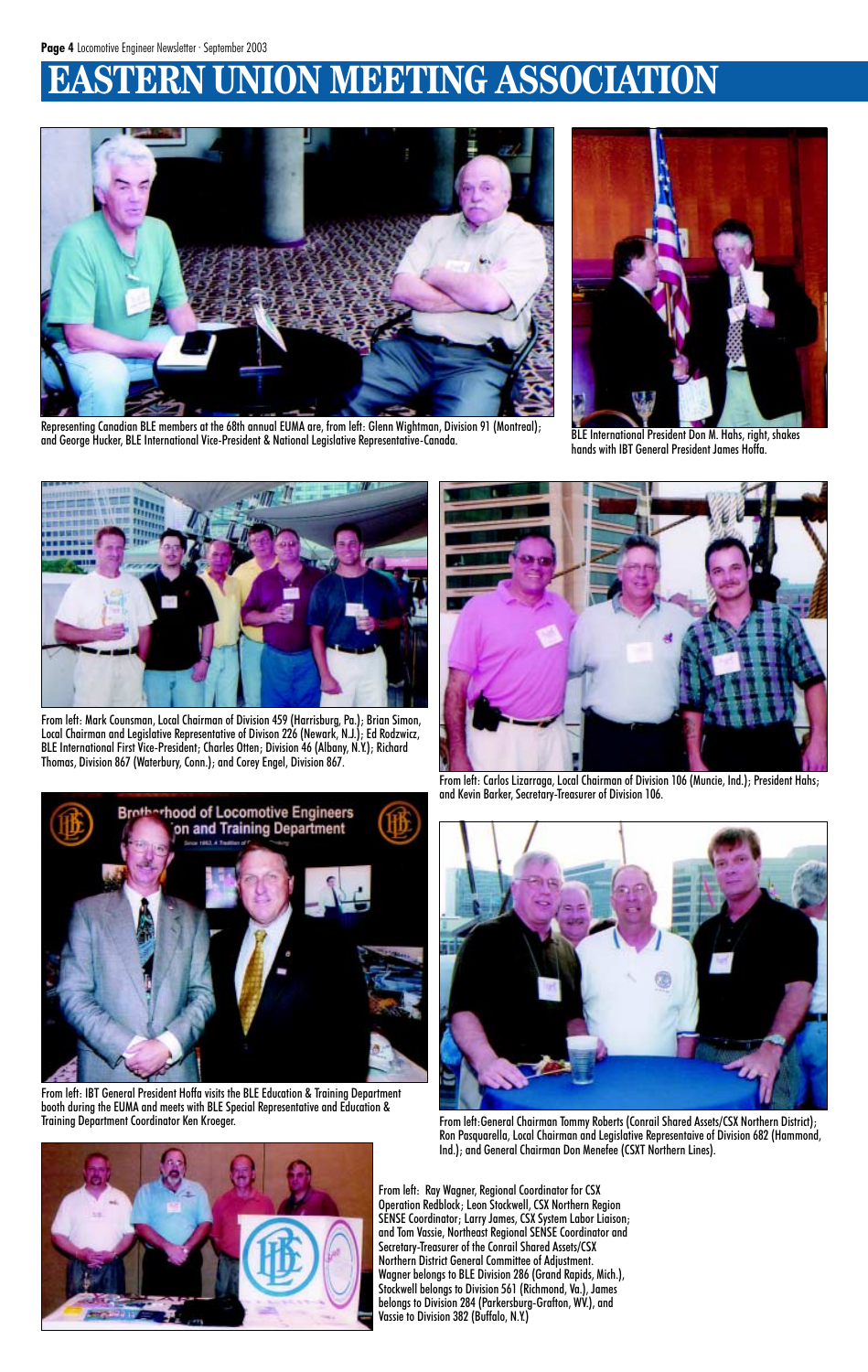# **ESTERN UNION MEETING ASSOCIATION**



Representing Canadian BLE members at the 68th annual EUMA are, from left: Glenn Wightman, Division 91 (Montreal); and George Hucker, BLE International Vice-President & National Legislative Representative-Canada. BLE International President Don M. Hahs, right, shakes



hands with IBT General President James Hoffa.



From left: Carlos Lizarraga, Local Chairman of Division 106 (Muncie, Ind.); President Hahs; and Kevin Barker, Secretary-Treasurer of Division 106.





From left:General Chairman Tommy Roberts (Conrail Shared Assets/CSX Northern District); Ron Pasquarella, Local Chairman and Legislative Representaive of Division 682 (Hammond, Ind.); and General Chairman Don Menefee (CSXT Northern Lines).



From left: Mark Counsman, Local Chairman of Division 459 (Harrisburg, Pa.); Brian Simon, Local Chairman and Legislative Representative of Divison 226 (Newark, N.J.); Ed Rodzwicz, BLE International First Vice-President; Charles Otten; Division 46 (Albany, N.Y.); Richard Thomas, Division 867 (Waterbury, Conn.); and Corey Engel, Division 867.

![](_page_3_Picture_8.jpeg)

From left: IBT General President Hoffa visits the BLE Education & Training Department booth during the EUMA and meets with BLE Special Representative and Education &

> From left: Ray Wagner, Regional Coordinator for CSX Operation Redblock; Leon Stockwell, CSX Northern Region SENSE Coordinator; Larry James, CSX System Labor Liaison; and Tom Vassie, Northeast Regional SENSE Coordinator and Secretary-Treasurer of the Conrail Shared Assets/CSX Northern District General Committee of Adjustment. Wagner belongs to BLE Division 286 (Grand Rapids, Mich.), Stockwell belongs to Division 561 (Richmond, Va.), James belongs to Division 284 (Parkersburg-Grafton, WV.), and Vassie to Division 382 (Buffalo, N.Y.)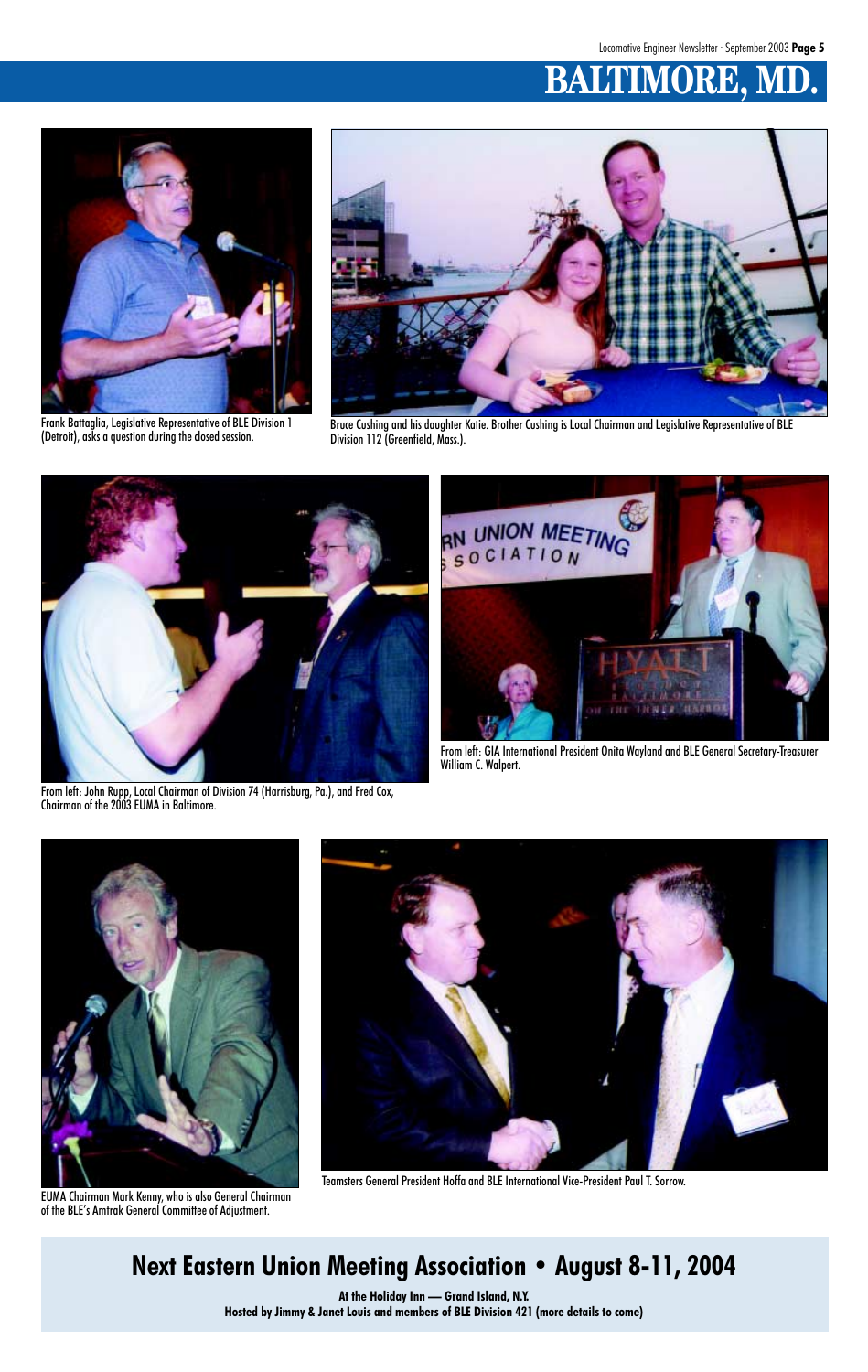# **BALTIMORE, M**

![](_page_4_Picture_4.jpeg)

Bruce Cushing and his daughter Katie. Brother Cushing is Local Chairman and Legislative Representative of BLE Division 112 (Greenfield, Mass.).

![](_page_4_Picture_2.jpeg)

Frank Battaglia, Legislative Representative of BLE Division 1 (Detroit), asks a question during the closed session.

![](_page_4_Picture_6.jpeg)

From left: John Rupp, Local Chairman of Division 74 (Harrisburg, Pa.), and Fred Cox, Chairman of the 2003 EUMA in Baltimore.

![](_page_4_Picture_8.jpeg)

From left: GIA International President Onita Wayland and BLE General Secretary-Treasurer William C. Walpert.

![](_page_4_Picture_10.jpeg)

Teamsters General President Hoffa and BLE International Vice-President Paul T. Sorrow.

![](_page_4_Picture_11.jpeg)

EUMA Chairman Mark Kenny, who is also General Chairman of the BLE's Amtrak General Committee of Adjustment.

# **Next Eastern Union Meeting Association • August 8-11, 2004**

**At the Holiday Inn — Grand Island, N.Y. Hosted by Jimmy & Janet Louis and members of BLE Division 421 (more details to come)**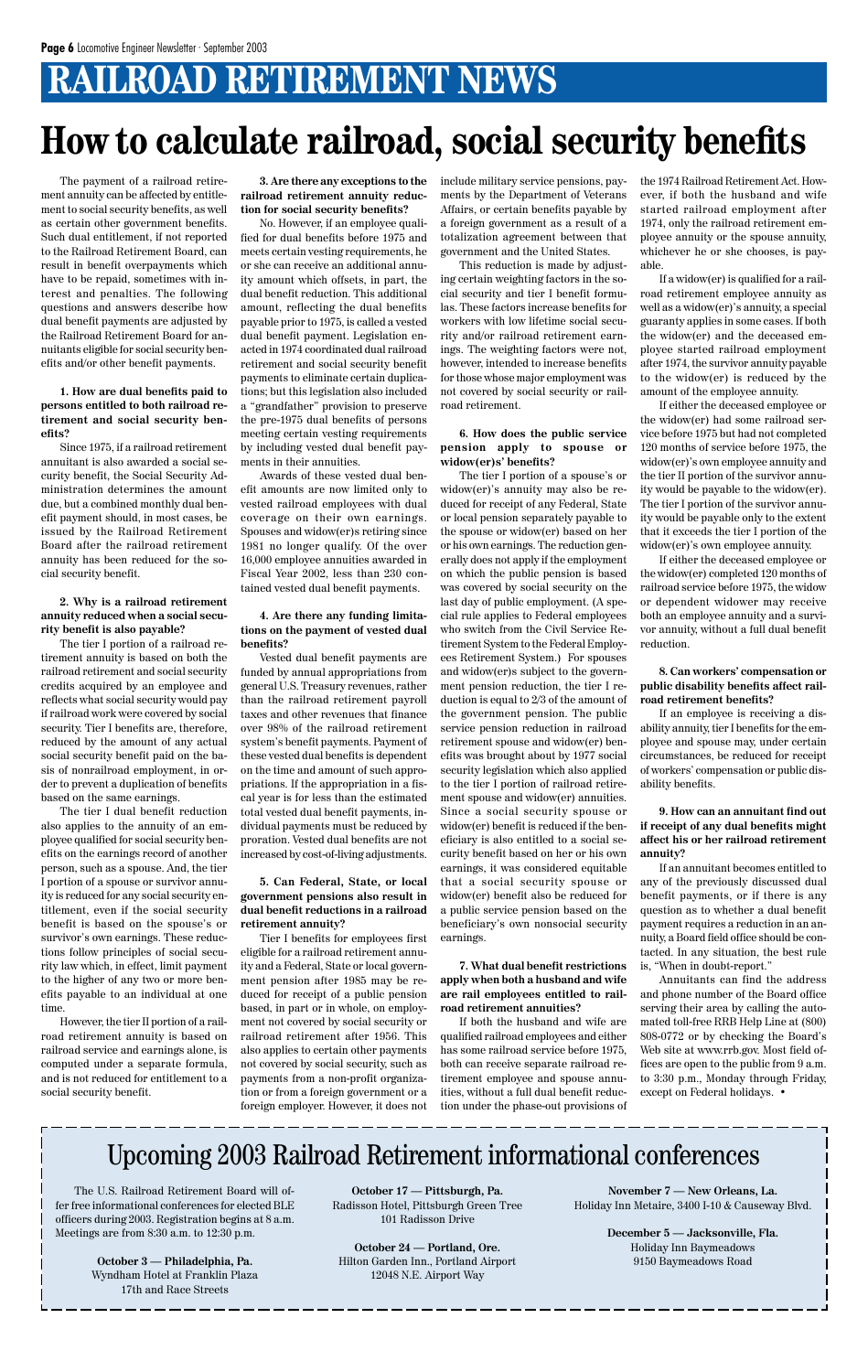# **RAILROAD RETIREMENT NEWS**

# **How to calculate railroad, social security benefits**

The payment of a railroad retirement annuity can be affected by entitlement to social security benefits, as well as certain other government benefits. Such dual entitlement, if not reported to the Railroad Retirement Board, can result in benefit overpayments which have to be repaid, sometimes with interest and penalties. The following questions and answers describe how dual benefit payments are adjusted by the Railroad Retirement Board for annuitants eligible for social security benefits and/or other benefit payments.

### **1. How are dual benefits paid to persons entitled to both railroad retirement and social security benefits?**

Since 1975, if a railroad retirement annuitant is also awarded a social security benefit, the Social Security Administration determines the amount due, but a combined monthly dual benefit payment should, in most cases, be issued by the Railroad Retirement Board after the railroad retirement annuity has been reduced for the social security benefit.

### **2. Why is a railroad retirement annuity reduced when a social security benefit is also payable?**

The tier I portion of a railroad retirement annuity is based on both the railroad retirement and social security credits acquired by an employee and reflects what social security would pay if railroad work were covered by social security. Tier I benefits are, therefore, reduced by the amount of any actual social security benefit paid on the basis of nonrailroad employment, in order to prevent a duplication of benefits based on the same earnings.

The tier I dual benefit reduction also applies to the annuity of an employee qualified for social security benefits on the earnings record of another person, such as a spouse. And, the tier I portion of a spouse or survivor annuity is reduced for any social security entitlement, even if the social security benefit is based on the spouse's or survivor's own earnings. These reductions follow principles of social security law which, in effect, limit payment to the higher of any two or more benefits payable to an individual at one

time.

However, the tier II portion of a railroad retirement annuity is based on railroad service and earnings alone, is computed under a separate formula, and is not reduced for entitlement to a social security benefit.

**3. Are there any exceptions to the railroad retirement annuity reduction for social security benefits?**

No. However, if an employee qualified for dual benefits before 1975 and meets certain vesting requirements, he or she can receive an additional annuity amount which offsets, in part, the dual benefit reduction. This additional amount, reflecting the dual benefits payable prior to 1975, is called a vested dual benefit payment. Legislation enacted in 1974 coordinated dual railroad retirement and social security benefit payments to eliminate certain duplications; but this legislation also included a "grandfather" provision to preserve the pre-1975 dual benefits of persons meeting certain vesting requirements by including vested dual benefit payments in their annuities.

Awards of these vested dual benefit amounts are now limited only to vested railroad employees with dual coverage on their own earnings. Spouses and widow(er)s retiring since 1981 no longer qualify. Of the over 16,000 employee annuities awarded in Fiscal Year 2002, less than 230 contained vested dual benefit payments.

### **4. Are there any funding limitations on the payment of vested dual benefits?**

Vested dual benefit payments are funded by annual appropriations from general U.S. Treasury revenues, rather than the railroad retirement payroll taxes and other revenues that finance over 98% of the railroad retirement system's benefit payments. Payment of these vested dual benefits is dependent on the time and amount of such appropriations. If the appropriation in a fiscal year is for less than the estimated total vested dual benefit payments, individual payments must be reduced by proration. Vested dual benefits are not increased by cost-of-living adjustments.

### **5. Can Federal, State, or local government pensions also result in dual benefit reductions in a railroad retirement annuity?**

Tier I benefits for employees first eligible for a railroad retirement annuity and a Federal, State or local government pension after 1985 may be reduced for receipt of a public pension based, in part or in whole, on employment not covered by social security or railroad retirement after 1956. This also applies to certain other payments not covered by social security, such as payments from a non-profit organization or from a foreign government or a foreign employer. However, it does not include military service pensions, payments by the Department of Veterans Affairs, or certain benefits payable by a foreign government as a result of a totalization agreement between that government and the United States.

This reduction is made by adjusting certain weighting factors in the social security and tier I benefit formulas. These factors increase benefits for workers with low lifetime social security and/or railroad retirement earnings. The weighting factors were not, however, intended to increase benefits for those whose major employment was not covered by social security or railroad retirement.

### **6. How does the public service pension apply to spouse or widow(er)s' benefits?**

The tier I portion of a spouse's or widow(er)'s annuity may also be reduced for receipt of any Federal, State or local pension separately payable to the spouse or widow(er) based on her or his own earnings. The reduction generally does not apply if the employment on which the public pension is based was covered by social security on the last day of public employment. (A special rule applies to Federal employees who switch from the Civil Service Retirement System to the Federal Employees Retirement System.) For spouses and widow(er)s subject to the government pension reduction, the tier I reduction is equal to 2/3 of the amount of the government pension. The public service pension reduction in railroad retirement spouse and widow(er) benefits was brought about by 1977 social security legislation which also applied to the tier I portion of railroad retirement spouse and widow(er) annuities. Since a social security spouse or widow(er) benefit is reduced if the beneficiary is also entitled to a social security benefit based on her or his own earnings, it was considered equitable that a social security spouse or widow(er) benefit also be reduced for a public service pension based on the beneficiary's own nonsocial security earnings.

**7. What dual benefit restrictions apply when both a husband and wife are rail employees entitled to railroad retirement annuities?**

If both the husband and wife are qualified railroad employees and either has some railroad service before 1975, both can receive separate railroad retirement employee and spouse annuities, without a full dual benefit reduction under the phase-out provisions of the 1974 Railroad Retirement Act. However, if both the husband and wife started railroad employment after 1974, only the railroad retirement employee annuity or the spouse annuity, whichever he or she chooses, is payable.

If a widow(er) is qualified for a railroad retirement employee annuity as well as a widow(er)'s annuity, a special guaranty applies in some cases. If both the widow(er) and the deceased employee started railroad employment after 1974, the survivor annuity payable to the widow(er) is reduced by the amount of the employee annuity.

If either the deceased employee or the widow(er) had some railroad service before 1975 but had not completed 120 months of service before 1975, the widow(er)'s own employee annuity and the tier II portion of the survivor annuity would be payable to the widow(er). The tier I portion of the survivor annuity would be payable only to the extent that it exceeds the tier I portion of the widow(er)'s own employee annuity.

If either the deceased employee or the widow(er) completed 120 months of railroad service before 1975, the widow or dependent widower may receive both an employee annuity and a survivor annuity, without a full dual benefit reduction.

**8. Can workers' compensation or public disability benefits affect railroad retirement benefits?**

If an employee is receiving a disability annuity, tier I benefits for the employee and spouse may, under certain circumstances, be reduced for receipt of workers' compensation or public disability benefits.

### **9. How can an annuitant find out if receipt of any dual benefits might affect his or her railroad retirement annuity?**

If an annuitant becomes entitled to any of the previously discussed dual benefit payments, or if there is any question as to whether a dual benefit payment requires a reduction in an annuity, a Board field office should be contacted. In any situation, the best rule is, "When in doubt-report."

Annuitants can find the address and phone number of the Board office serving their area by calling the automated toll-free RRB Help Line at (800) 808-0772 or by checking the Board's Web site at www.rrb.gov. Most field offices are open to the public from 9 a.m. to 3:30 p.m., Monday through Friday, except on Federal holidays. •

# Upcoming 2003 Railroad Retirement informational conferences

The U.S. Railroad Retirement Board will offer free informational conferences for elected BLE officers during 2003. Registration begins at 8 a.m. Meetings are from 8:30 a.m. to 12:30 p.m.

> **October 3 — Philadelphia, Pa.** Wyndham Hotel at Franklin Plaza 17th and Race Streets

**October 17 — Pittsburgh, Pa.** Radisson Hotel, Pittsburgh Green Tree 101 Radisson Drive

**October 24 — Portland, Ore.** Hilton Garden Inn., Portland Airport 12048 N.E. Airport Way

**November 7 — New Orleans, La.** Holiday Inn Metaire, 3400 I-10 & Causeway Blvd.

> **December 5 — Jacksonville, Fla.** Holiday Inn Baymeadows 9150 Baymeadows Road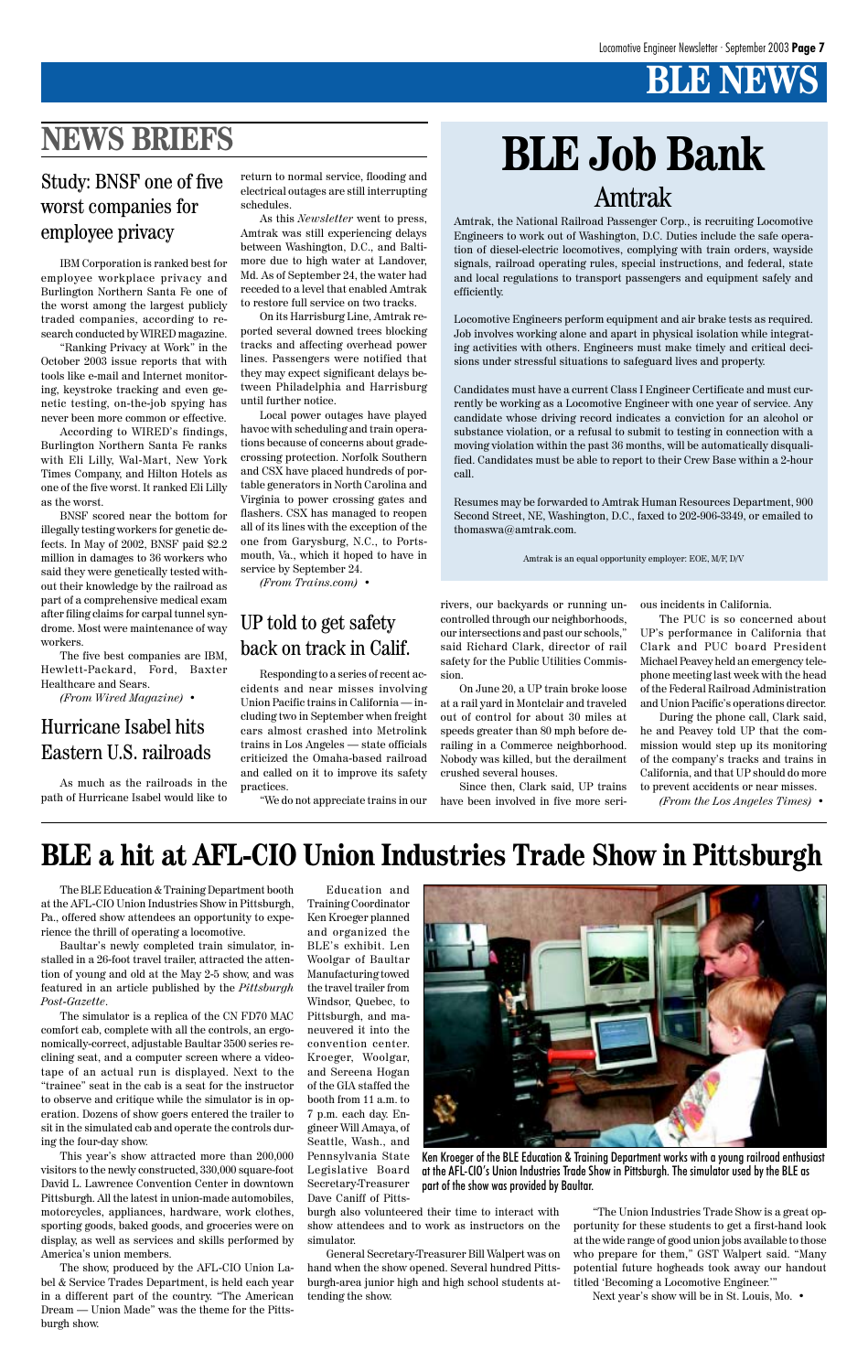# **BLE NEWS**

The BLE Education & Training Department booth at the AFL-CIO Union Industries Show in Pittsburgh, Pa., offered show attendees an opportunity to experience the thrill of operating a locomotive.

Baultar's newly completed train simulator, installed in a 26-foot travel trailer, attracted the attention of young and old at the May 2-5 show, and was featured in an article published by the *Pittsburgh Post-Gazette*.

The simulator is a replica of the CN FD70 MAC comfort cab, complete with all the controls, an ergonomically-correct, adjustable Baultar 3500 series reclining seat, and a computer screen where a videotape of an actual run is displayed. Next to the "trainee" seat in the cab is a seat for the instructor to observe and critique while the simulator is in operation. Dozens of show goers entered the trailer to sit in the simulated cab and operate the controls during the four-day show.

This year's show attracted more than 200,000 visitors to the newly constructed, 330,000 square-foot David L. Lawrence Convention Center in downtown Pittsburgh. All the latest in union-made automobiles, motorcycles, appliances, hardware, work clothes, sporting goods, baked goods, and groceries were on display, as well as services and skills performed by America's union members.

The show, produced by the AFL-CIO Union Label & Service Trades Department, is held each year in a different part of the country. "The American Dream — Union Made" was the theme for the Pittsburgh show.

Education and Training Coordinator Ken Kroeger planned and organized the BLE's exhibit. Len Woolgar of Baultar Manufacturing towed the travel trailer from Windsor, Quebec, to

![](_page_6_Picture_37.jpeg)

Pittsburgh, and maneuvered it into the convention center. Kroeger, Woolgar, and Sereena Hogan of the GIA staffed the booth from 11 a.m. to 7 p.m. each day. Engineer Will Amaya, of Seattle, Wash., and Pennsylvania State Legislative Board Secretary-Treasurer Dave Caniff of Pitts-

burgh also volunteered their time to interact with show attendees and to work as instructors on the simulator.

General Secretary-Treasurer Bill Walpert was on hand when the show opened. Several hundred Pittsburgh-area junior high and high school students attending the show.

# **BLE a hit at AFL-CIO Union Industries Trade Show in Pittsburgh**

"The Union Industries Trade Show is a great opportunity for these students to get a first-hand look at the wide range of good union jobs available to those who prepare for them," GST Walpert said. "Many potential future hogheads took away our handout titled 'Becoming a Locomotive Engineer.'"

Next year's show will be in St. Louis, Mo. •

Ken Kroeger of the BLE Education & Training Department works with a young railroad enthusiast at the AFL-CIO's Union Industries Trade Show in Pittsburgh. The simulator used by the BLE as part of the show was provided by Baultar.

Amtrak, the National Railroad Passenger Corp., is recruiting Locomotive Engineers to work out of Washington, D.C. Duties include the safe operation of diesel-electric locomotives, complying with train orders, wayside signals, railroad operating rules, special instructions, and federal, state and local regulations to transport passengers and equipment safely and efficiently.

Locomotive Engineers perform equipment and air brake tests as required. Job involves working alone and apart in physical isolation while integrating activities with others. Engineers must make timely and critical decisions under stressful situations to safeguard lives and property.

Candidates must have a current Class I Engineer Certificate and must currently be working as a Locomotive Engineer with one year of service. Any candidate whose driving record indicates a conviction for an alcohol or substance violation, or a refusal to submit to testing in connection with a moving violation within the past 36 months, will be automatically disqualified. Candidates must be able to report to their Crew Base within a 2-hour call.

Resumes may be forwarded to Amtrak Human Resources Department, 900 Second Street, NE, Washington, D.C., faxed to 202-906-3349, or emailed to thomaswa@amtrak.com.

Amtrak is an equal opportunity employer: EOE, M/F, D/V

# **BLE Job Bank** Amtrak

# **NEWS BRIEFS**

As much as the railroads in the path of Hurricane Isabel would like to

# Hurricane Isabel hits Eastern U.S. railroads

IBM Corporation is ranked best for employee workplace privacy and Burlington Northern Santa Fe one of the worst among the largest publicly traded companies, according to research conducted by WIRED magazine.

"Ranking Privacy at Work" in the October 2003 issue reports that with tools like e-mail and Internet monitoring, keystroke tracking and even genetic testing, on-the-job spying has never been more common or effective.

According to WIRED's findings, Burlington Northern Santa Fe ranks with Eli Lilly, Wal-Mart, New York Times Company, and Hilton Hotels as one of the five worst. It ranked Eli Lilly as the worst.

BNSF scored near the bottom for illegally testing workers for genetic defects. In May of 2002, BNSF paid \$2.2 million in damages to 36 workers who said they were genetically tested without their knowledge by the railroad as part of a comprehensive medical exam after filing claims for carpal tunnel syndrome. Most were maintenance of way workers.

The five best companies are IBM, Hewlett-Packard, Ford, Baxter Healthcare and Sears.

*(From Wired Magazine)* •

## Study: BNSF one of five worst companies for employee privacy

Responding to a series of recent accidents and near misses involving Union Pacific trains in California — including two in September when freight cars almost crashed into Metrolink trains in Los Angeles — state officials criticized the Omaha-based railroad and called on it to improve its safety practices.

"We do not appreciate trains in our

# UP told to get safety back on track in Calif.

return to normal service, flooding and electrical outages are still interrupting schedules.

As this *Newsletter* went to press, Amtrak was still experiencing delays between Washington, D.C., and Baltimore due to high water at Landover, Md. As of September 24, the water had receded to a level that enabled Amtrak to restore full service on two tracks.

On its Harrisburg Line, Amtrak reported several downed trees blocking tracks and affecting overhead power lines. Passengers were notified that they may expect significant delays between Philadelphia and Harrisburg until further notice.

Local power outages have played havoc with scheduling and train operations because of concerns about gradecrossing protection. Norfolk Southern and CSX have placed hundreds of portable generators in North Carolina and Virginia to power crossing gates and flashers. CSX has managed to reopen all of its lines with the exception of the one from Garysburg, N.C., to Portsmouth, Va., which it hoped to have in service by September 24.

*(From Trains.com)* •

rivers, our backyards or running uncontrolled through our neighborhoods, our intersections and past our schools," said Richard Clark, director of rail safety for the Public Utilities Commission.

On June 20, a UP train broke loose at a rail yard in Montclair and traveled out of control for about 30 miles at speeds greater than 80 mph before derailing in a Commerce neighborhood. Nobody was killed, but the derailment crushed several houses.

Since then, Clark said, UP trains have been involved in five more serious incidents in California.

The PUC is so concerned about UP's performance in California that Clark and PUC board President Michael Peavey held an emergency telephone meeting last week with the head of the Federal Railroad Administration and Union Pacific's operations director.

During the phone call, Clark said, he and Peavey told UP that the commission would step up its monitoring of the company's tracks and trains in California, and that UP should do more to prevent accidents or near misses.

*(From the Los Angeles Times)* •